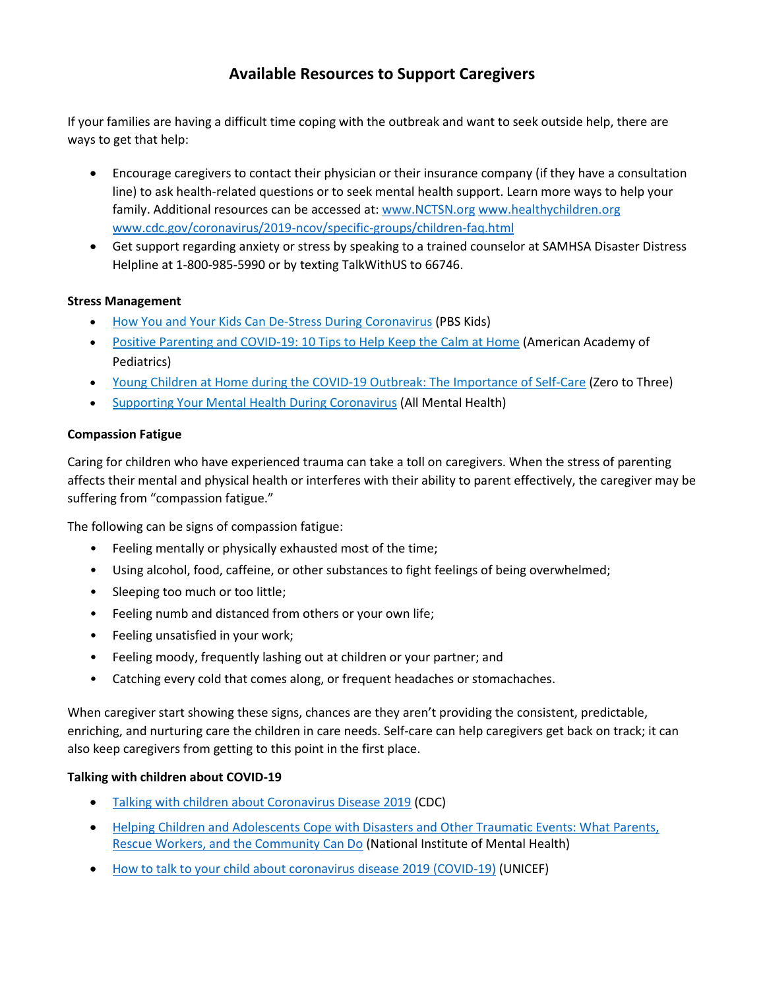# **Available Resources to Support Caregivers**

If your families are having a difficult time coping with the outbreak and want to seek outside help, there are ways to get that help:

- Encourage caregivers to contact their physician or their insurance company (if they have a consultation line) to ask health-related questions or to seek mental health support. Learn more ways to help your family. Additional resources can be accessed at: [www.NCTSN.org](http://www.nctsn.org/) [www.healthychildren.org](http://www.healthychildren.org/) [www.cdc.gov/coronavirus/2019-ncov/specific-groups/children-faq.html](http://www.cdc.gov/coronavirus/2019-ncov/specific-groups/children-faq.html)
- Get support regarding anxiety or stress by speaking to a trained counselor at SAMHSA Disaster Distress Helpline at 1-800-985-5990 or by texting TalkWithUS to 66746.

# **Stress Management**

- [How You and Your Kids Can De-Stress During Coronavirus](https://www.pbs.org/parents/thrive/how-you-and-your-kids-can-de-stress-during-coronavirus) (PBS Kids)
- [Positive Parenting and COVID-19: 10 Tips to Help Keep the Calm at Home](https://www.healthychildren.org/English/family-life/family-dynamics/communication-discipline/Pages/Positive-Parenting-and-COVID-19_10-Tips.aspx) (American Academy of Pediatrics)
- [Young Children at Home during the COVID-19 Outbreak: The Importance of Self-Care](https://www.zerotothree.org/resources/3262-young-children-at-home-during-the-covid-19-outbreak-the-importance-of-self-care) (Zero to Three)
- [Supporting Your Mental Health During Coronavirus](https://coronavirus.allmentalhealth.org/) (All Mental Health)

## **Compassion Fatigue**

Caring for children who have experienced trauma can take a toll on caregivers. When the stress of parenting affects their mental and physical health or interferes with their ability to parent effectively, the caregiver may be suffering from "compassion fatigue."

The following can be signs of compassion fatigue:

- Feeling mentally or physically exhausted most of the time;
- Using alcohol, food, caffeine, or other substances to fight feelings of being overwhelmed;
- Sleeping too much or too little;
- Feeling numb and distanced from others or your own life;
- Feeling unsatisfied in your work;
- Feeling moody, frequently lashing out at children or your partner; and
- Catching every cold that comes along, or frequent headaches or stomachaches.

When caregiver start showing these signs, chances are they aren't providing the consistent, predictable, enriching, and nurturing care the children in care needs. Self-care can help caregivers get back on track; it can also keep caregivers from getting to this point in the first place.

#### **Talking with children about COVID-19**

- [Talking with children about Coronavirus Disease 2019](file:///C:/Users/Hartaj/AppData/Local/Microsoft/Windows/INetCache/Content.Outlook/NQ1GPDOE/Talking%20with%20children%20about%20Coronavirus%20Disease%202019) (CDC)
- [Helping Children and Adolescents Cope with Disasters and Other Traumatic Events: What Parents,](file:///C:/Users/Hartaj/AppData/Local/Microsoft/Windows/INetCache/Content.Outlook/NQ1GPDOE/•%09https:/www.nimh.nih.gov/health/publications/helping-children-and-adolescents-cope-with-disasters-and-other-traumatic-events/index.shtml)  [Rescue Workers, and the Community Can Do](file:///C:/Users/Hartaj/AppData/Local/Microsoft/Windows/INetCache/Content.Outlook/NQ1GPDOE/•%09https:/www.nimh.nih.gov/health/publications/helping-children-and-adolescents-cope-with-disasters-and-other-traumatic-events/index.shtml) (National Institute of Mental Health)
- [How to talk to your child about coronavirus disease 2019 \(COVID-19\)](https://www.unicef.org/coronavirus/how-talk-your-child-about-coronavirus-covid-19) (UNICEF)